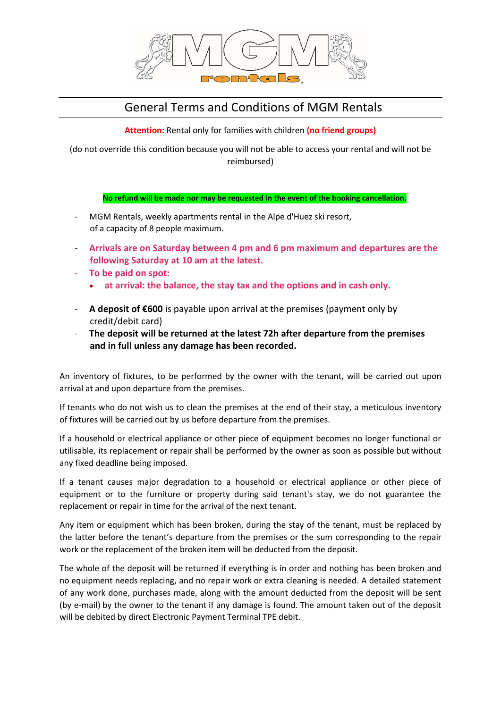

# General Terms and Conditions of MGM Rentals

**Attention:** Rental only for families with children **(no friend groups)**

(do not override this condition because you will not be able to access your rental and will not be reimbursed)

## **No refund will be made nor may be requested in the event of the booking cancellation.**

- MGM Rentals, weekly apartments rental in the Alpe d'Huez ski resort, of a capacity of 8 people maximum.
- **Arrivals are on Saturday between 4 pm and 6 pm maximum and departures are the following Saturday at 10 am at the latest.**
- **To be paid on spot:**
	- **at arrival: the balance, the stay tax and the options and in cash only.**
- **A deposit of €600** is payable upon arrival at the premises (payment only by credit/debit card)
- **The deposit will be returned at the latest 72h after departure from the premises and in full unless any damage has been recorded.**

An inventory of fixtures, to be performed by the owner with the tenant, will be carried out upon arrival at and upon departure from the premises.

If tenants who do not wish us to clean the premises at the end of their stay, a meticulous inventory of fixtures will be carried out by us before departure from the premises.

If a household or electrical appliance or other piece of equipment becomes no longer functional or utilisable, its replacement or repair shall be performed by the owner as soon as possible but without any fixed deadline being imposed.

If a tenant causes major degradation to a household or electrical appliance or other piece of equipment or to the furniture or property during said tenant's stay, we do not guarantee the replacement or repair in time for the arrival of the next tenant.

Any item or equipment which has been broken, during the stay of the tenant, must be replaced by the latter before the tenant's departure from the premises or the sum corresponding to the repair work or the replacement of the broken item will be deducted from the deposit.

The whole of the deposit will be returned if everything is in order and nothing has been broken and no equipment needs replacing, and no repair work or extra cleaning is needed. A detailed statement of any work done, purchases made, along with the amount deducted from the deposit will be sent (by e-mail) by the owner to the tenant if any damage is found. The amount taken out of the deposit will be debited by direct Electronic Payment Terminal TPE debit.